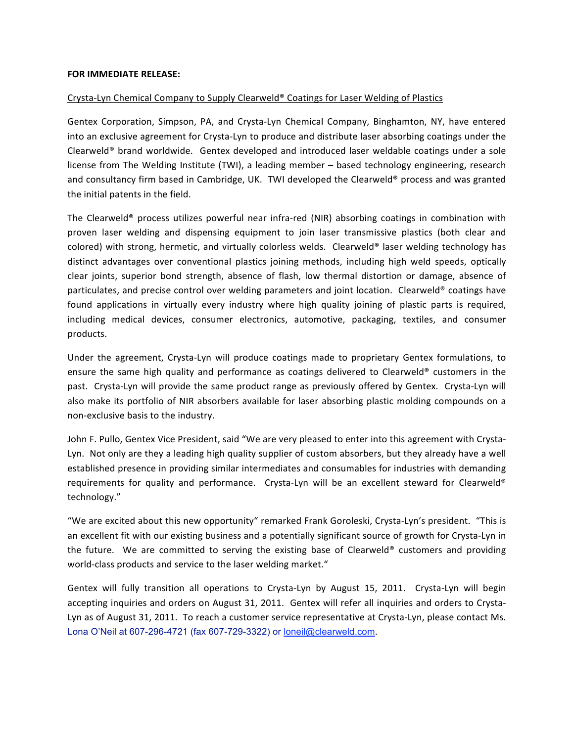## **FOR
IMMEDIATE
RELEASE:**

## Crysta-Lyn Chemical Company to Supply Clearweld® Coatings for Laser Welding of Plastics

Gentex Corporation, Simpson, PA, and Crysta-Lyn Chemical Company, Binghamton, NY, have entered into an exclusive agreement for Crysta-Lyn to produce and distribute laser absorbing coatings under the Clearweld<sup>®</sup> brand worldwide. Gentex developed and introduced laser weldable coatings under a sole license from The Welding Institute (TWI), a leading member - based technology engineering, research and consultancy firm based in Cambridge, UK. TWI developed the Clearweld® process and was granted the
initial
patents
in
the
field.

The Clearweld® process utilizes powerful near infra-red (NIR) absorbing coatings in combination with proven laser welding and dispensing equipment to join laser transmissive plastics (both clear and colored) with strong, hermetic, and virtually colorless welds. Clearweld® laser welding technology has distinct advantages over conventional plastics joining methods, including high weld speeds, optically clear joints, superior bond strength, absence of flash, low thermal distortion or damage, absence of particulates, and precise control over welding parameters and joint location. Clearweld® coatings have found applications in virtually every industry where high quality joining of plastic parts is required, including medical devices, consumer electronics, automotive, packaging, textiles, and consumer products.

Under the agreement, Crysta-Lyn will produce coatings made to proprietary Gentex formulations, to ensure the same high quality and performance as coatings delivered to Clearweld® customers in the past. Crysta-Lyn will provide the same product range as previously offered by Gentex. Crysta-Lyn will also make its portfolio of NIR absorbers available for laser absorbing plastic molding compounds on a non‐exclusive
basis
to
the
industry.

John F. Pullo, Gentex Vice President, said "We are very pleased to enter into this agreement with Crysta-Lyn. Not only are they a leading high quality supplier of custom absorbers, but they already have a well established presence in providing similar intermediates and consumables for industries with demanding requirements for quality and performance. Crysta-Lyn will be an excellent steward for Clearweld® technology."

"We are excited about this new opportunity" remarked Frank Goroleski, Crysta-Lyn's president. "This is an excellent fit with our existing business and a potentially significant source of growth for Crysta-Lyn in the future. We are committed to serving the existing base of Clearweld® customers and providing world-class products and service to the laser welding market."

Gentex will fully transition all operations to Crysta-Lyn by August 15, 2011. Crysta-Lyn will begin accepting inquiries and orders on August 31, 2011. Gentex will refer all inquiries and orders to Crysta-Lyn as of August 31, 2011. To reach a customer service representative at Crysta-Lyn, please contact Ms. Lona O'Neil at 607-296-4721 (fax 607-729-3322) or loneil@clearweld.com.